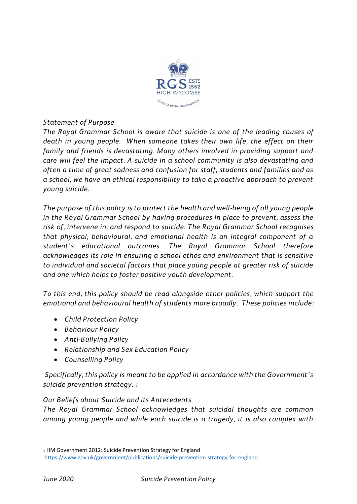

### *Statement of Purpose*

*The Royal Grammar School is aware that suicide is one of the leading causes of death in young people. When someone takes their own life, the effect on their family and friends is devastating. Many others involved in providing support and care will feel the impact. A suicide in a school community is also devastating and often a time of great sadness and confusion for staff, students and families and as a school, we have an ethical responsibility to take a proactive approach to prevent young suicide.* 

*The purpose of this policy is to protect the health and well-being of all young people in the Royal Grammar School by having procedures in place to prevent, assess the risk of, intervene in, and respond to suicide. The Royal Grammar School recognises that physical, behavioural, and emotional health is an integral component of a student's educational outcomes. The Royal Grammar School therefore acknowledges its role in ensuring a school ethos and environment that is sensitive to individual and societal factors that place young people at greater risk of suicide and one which helps to foster positive youth development.*

*To this end, this policy should be read alongside other policies, which support the emotional and behavioural health of students more broadly . These policies include:*

- *Child Protection Policy*
- *Behaviour Policy*
- *Anti-Bullying Policy*
- *Relationship and Sex Education Policy*
- *Counselling Policy*

*Specifically, this policy is meant to be applied in accordance with the Government's suicide prevention strategy. <sup>1</sup>*

## *Our Beliefs about Suicide and its Antecedents*

*The Royal Grammar School acknowledges that suicidal thoughts are common among young people and while each suicide is a tragedy, it is also complex with* 

1

<sup>1</sup> HM Government 2012: Suicide Prevention Strategy for England

<https://www.gov.uk/government/publications/suicide-prevention-strategy-for-england>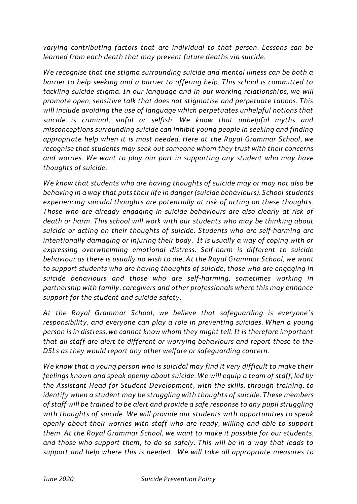*varying contributing factors that are individual to that person. Lessons can be learned from each death that may prevent future deaths via suicide.*

*We recognise that the stigma surrounding suicide and mental illness can be both a barrier to help seeking and a barrier to offering help. This school is committed to tackling suicide stigma. In our language and in our working relationships, we will promote open, sensitive talk that does not stigmatise and perpetuate taboos. This will include avoiding the use of language which perpetuates unhelpful notions that suicide is criminal, sinful or selfish. We know that unhelpful myths and misconceptions surrounding suicide can inhibit young people in seeking and finding appropriate help when it is most needed. Here at the Royal Grammar School, we recognise that students may seek out someone whom they trust with their concerns and worries. We want to play our part in supporting any student who may have thoughts of suicide.*

*We know that students who are having thoughts of suicide may or may not also be behaving in a way that puts their life in danger (suicide behaviours). School students experiencing suicidal thoughts are potentially at risk of acting on these thoughts. Those who are already engaging in suicide behaviours are also clearly at risk of death or harm. This school will work with our students who may be thinking about suicide or acting on their thoughts of suicide. Students who are self-harming are intentionally damaging or injuring their body. It is usually a way of coping with or expressing overwhelming emotional distress. Self-harm is different to suicide behaviour as there is usually no wish to die. At the Royal Grammar School, we want to support students who are having thoughts of suicide, those who are engaging in suicide behaviours and those who are self-harming, sometimes working in partnership with family, caregivers and other professionals where this may enhance support for the student and suicide safety.*

*At the Royal Grammar School, we believe that safeguarding is everyone's responsibility, and everyone can play a role in preventing suicides. When a young person is in distress, we cannot know whom they might tell. It is therefore important that all staff are alert to different or worrying behaviours and report these to the DSLs as they would report any other welfare or safeguarding concern.* 

*We know that a young person who is suicidal may find it very difficult to make their feelings known and speak openly about suicide. We will equip a team of staff, led by the Assistant Head for Student Development, with the skills, through training, to identify when a student may be struggling with thoughts of suicide. These members of staff will be trained to be alert and provide a safe response to any pupil struggling with thoughts of suicide. We will provide our students with opportunities to speak openly about their worries with staff who are ready, willing and able to support them. At the Royal Grammar School, we want to make it possible for our students, and those who support them, to do so safely. This will be in a way that leads to support and help where this is needed. We will take all appropriate measures to*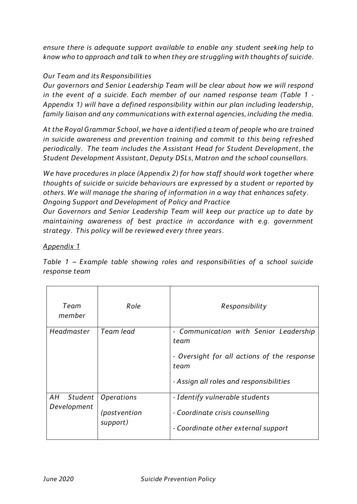*ensure there is adequate support available to enable any student seeking help to know who to approach and talk to when they are struggling with thoughts of suicide.*

# *Our Team and its Responsibilities*

*Our governors and Senior Leadership Team will be clear about how we will respond in the event of a suicide. Each member of our named response team (Table 1 - Appendix 1) will have a defined responsibility within our plan including leadership, family liaison and any communications with external agencies, including the media.*

*At the Royal Grammar School, we have a identified a team of people who are trained in suicide awareness and prevention training and commit to this being refreshed periodically. The team includes the Assistant Head for Student Development, the Student Development Assistant, Deputy DSLs, Matron and the school counsellors.*

*We have procedures in place (Appendix 2) for how staff should work together where thoughts of suicide or suicide behaviours are expressed by a student or reported by others. We will manage the sharing of information in a way that enhances safety. Ongoing Support and Development of Policy and Practice*

*Our Governors and Senior Leadership Team will keep our practice up to date by maintaining awareness of best practice in accordance with e.g. government strategy. This policy will be reviewed every three years.*

## *Appendix 1*

*Table 1 – Example table showing roles and responsibilities of a school suicide response team*

| Team<br>member               | Role                                          | Responsibility                                                                                                                                   |
|------------------------------|-----------------------------------------------|--------------------------------------------------------------------------------------------------------------------------------------------------|
| Headmaster                   | Team lead                                     | - Communication with Senior Leadership<br>team<br>- Oversight for all actions of the response<br>team<br>- Assign all roles and responsibilities |
| AН<br>Student<br>Development | <i>Operations</i><br>(postvention<br>support) | - Identify vulnerable students<br>- Coordinate crisis counselling<br>- Coordinate other external support                                         |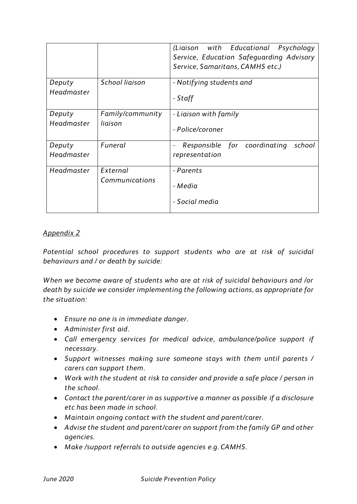|                      |                             | (Liaison with Educational Psychology<br>Service, Education Safeguarding Advisory<br>Service, Samaritans, CAMHS etc.) |
|----------------------|-----------------------------|----------------------------------------------------------------------------------------------------------------------|
| Deputy<br>Headmaster | School liaison              | - Notifying students and<br>- Staff                                                                                  |
| Deputy<br>Headmaster | Family/community<br>liaison | - Liaison with family<br>- Police/coroner                                                                            |
| Deputy<br>Headmaster | Funeral                     | Responsible for coordinating<br>school<br>representation                                                             |
| Headmaster           | External<br>Communications  | - Parents<br>- Media<br>- Social media                                                                               |

### *Appendix 2*

*Potential school procedures to support students who are at risk of suicidal behaviours and / or death by suicide:*

*When we become aware of students who are at risk of suicidal behaviours and /or death by suicide we consider implementing the following actions, as appropriate for the situation:*

- *Ensure no one is in immediate danger.*
- *Administer first aid.*
- *Call emergency services for medical advice, ambulance/police support if necessary.*
- *Support witnesses making sure someone stays with them until parents / carers can support them.*
- *Work with the student at risk to consider and provide a safe place / person in the school.*
- *Contact the parent/carer in as supportive a manner as possible if a disclosure etc has been made in school.*
- *Maintain ongoing contact with the student and parent/carer.*
- *Advise the student and parent/carer on support from the family GP and other agencies.*
- *Make /support referrals to outside agencies e.g. CAMHS.*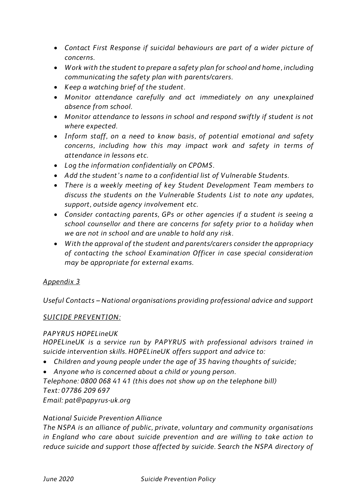- *Contact First Response if suicidal behaviours are part of a wider picture of concerns.*
- *Work with the student to prepare a safety plan for school and home, including communicating the safety plan with parents/carers.*
- *Keep a watching brief of the student.*
- *Monitor attendance carefully and act immediately on any unexplained absence from school.*
- *Monitor attendance to lessons in school and respond swiftly if student is not where expected.*
- *Inform staff, on a need to know basis, of potential emotional and safety concerns, including how this may impact work and safety in terms of attendance in lessons etc.*
- *Log the information confidentially on CPOMS.*
- *Add the student's name to a confidential list of Vulnerable Students.*
- *There is a weekly meeting of key Student Development Team members to discuss the students on the Vulnerable Students List to note any updates, support, outside agency involvement etc.*
- *Consider contacting parents, GPs or other agencies if a student is seeing a school counsellor and there are concerns for safety prior to a holiday when we are not in school and are unable to hold any risk.*
- *With the approval of the student and parents/carers consider the appropriacy of contacting the school Examination Officer in case special consideration may be appropriate for external exams.*

## *Appendix 3*

*Useful Contacts – National organisations providing professional advice and support* 

### *SUICIDE PREVENTION:*

### *PAPYRUS HOPELineUK*

*HOPELineUK is a service run by PAPYRUS with professional advisors trained in suicide intervention skills. HOPELineUK offers support and advice to:*

- *Children and young people under the age of 35 having thoughts of suicide;*
- *Anyone who is concerned about a child or young person.*

*Telephone: 0800 068 41 41 (this does not show up on the telephone bill) Text: 07786 209 697*

*Email: pat@papyrus-uk.org*

### *National Suicide Prevention Alliance*

*The NSPA is an alliance of public, private, voluntary and community organisations in England who care about suicide prevention and are willing to take action to reduce suicide and support those affected by suicide. Search the NSPA directory of*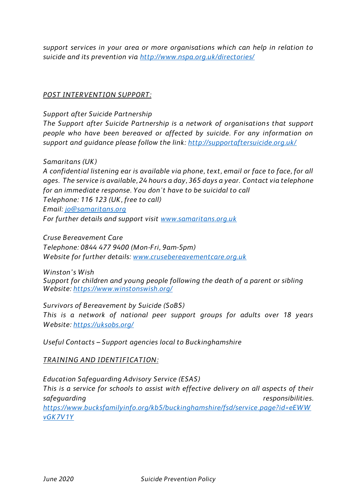*support services in your area or more organisations which can help in relation to suicide and its prevention via<http://www.nspa.org.uk/directories/>*

#### *POST INTERVENTION SUPPORT:*

*Support after Suicide Partnership*

*The Support after Suicide Partnership is a network of organisations that support people who have been bereaved or affected by suicide. For any information on support and guidance please follow the link:<http://supportaftersuicide.org.uk/>*

*Samaritans (UK)* 

*A confidential listening ear is available via phone, text, email or face to face, for all ages. The service is available, 24 hours a day, 365 days a year. Contact via telephone for an immediate response. You don't have to be suicidal to call Telephone: 116 123 (UK, free to call) Email: [jo@samaritans.org](mailto:jo@samaritans.org) For further details and support visit [www.samaritans.org.uk](http://www.samaritans.org.uk/)*

*Cruse Bereavement Care Telephone: 0844 477 9400 (Mon-Fri, 9am-5pm) Website for further details: [www.crusebereavementcare.org.uk](http://www.crusebereavementcare.org.uk/)*

*Winston's Wish Support for children and young people following the death of a parent or sibling Website:<https://www.winstonswish.org/>*

*Survivors of Bereavement by Suicide (SoBS) This is a network of national peer support groups for adults over 18 years Website:<https://uksobs.org/>*

*Useful Contacts – Support agencies local to Buckinghamshire*

### *TRAINING AND IDENTIFICATION:*

*Education Safeguarding Advisory Service (ESAS) This is a service for schools to assist with effective delivery on all aspects of their safeguarding responsibilities. [https://www.bucksfamilyinfo.org/kb5/buckinghamshire/fsd/service.page?id=eEWW](https://www.bucksfamilyinfo.org/kb5/buckinghamshire/fsd/service.page?id=eEWWvGK7V1Y) [vGK7V1Y](https://www.bucksfamilyinfo.org/kb5/buckinghamshire/fsd/service.page?id=eEWWvGK7V1Y)*